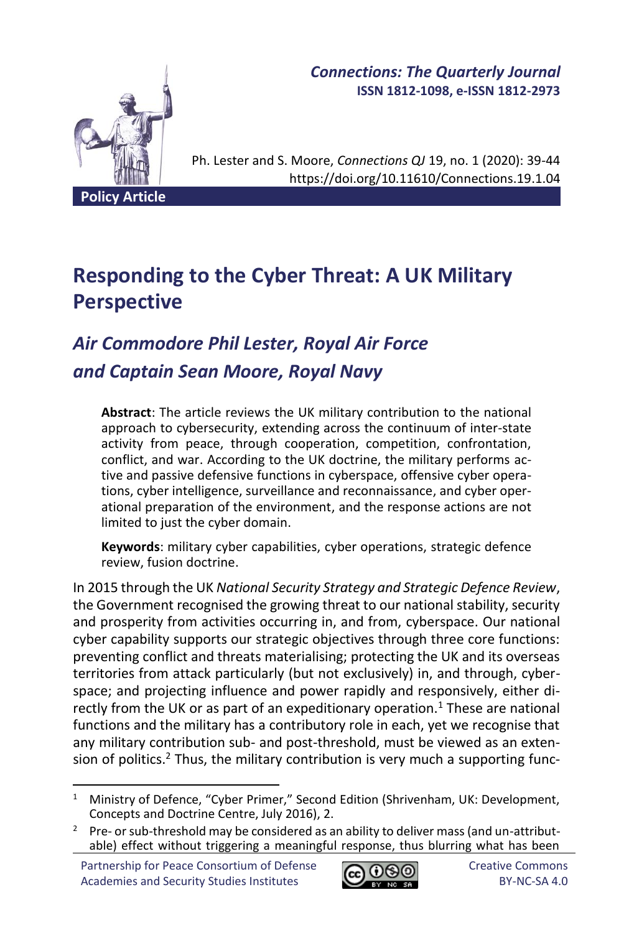

*Connections: The Quarterly Journal* **ISSN 1812-1098, e-ISSN 1812-2973**

Ph. Lester and S. Moore, *Connections QJ* 19, no. 1 (2020): 39-44 https://doi.org/10.11610/Connections.19.1.04

# **Responding to the Cyber Threat: A UK Military Perspective**

# *Air Commodore Phil Lester, Royal Air Force and Captain Sean Moore, Royal Navy*

**Abstract**: The article reviews the UK military contribution to the national approach to cybersecurity, extending across the continuum of inter-state activity from peace, through cooperation, competition, confrontation, conflict, and war. According to the UK doctrine, the military performs active and passive defensive functions in cyberspace, offensive cyber operations, cyber intelligence, surveillance and reconnaissance, and cyber operational preparation of the environment, and the response actions are not limited to just the cyber domain.

**Keywords**: military cyber capabilities, cyber operations, strategic defence review, fusion doctrine.

In 2015 through the UK *National Security Strategy and Strategic Defence Review*, the Government recognised the growing threat to our national stability, security and prosperity from activities occurring in, and from, cyberspace. Our national cyber capability supports our strategic objectives through three core functions: preventing conflict and threats materialising; protecting the UK and its overseas territories from attack particularly (but not exclusively) in, and through, cyberspace; and projecting influence and power rapidly and responsively, either directly from the UK or as part of an expeditionary operation.<sup>1</sup> These are national functions and the military has a contributory role in each, yet we recognise that any military contribution sub- and post-threshold, must be viewed as an extension of politics.<sup>2</sup> Thus, the military contribution is very much a supporting func-



<sup>&</sup>lt;sup>1</sup> Ministry of Defence, "Cyber Primer," Second Edition (Shrivenham, UK: Development, Concepts and Doctrine Centre, July 2016), 2.

<sup>&</sup>lt;sup>2</sup> Pre- or sub-threshold may be considered as an ability to deliver mass (and un-attributable) effect without triggering a meaningful response, thus blurring what has been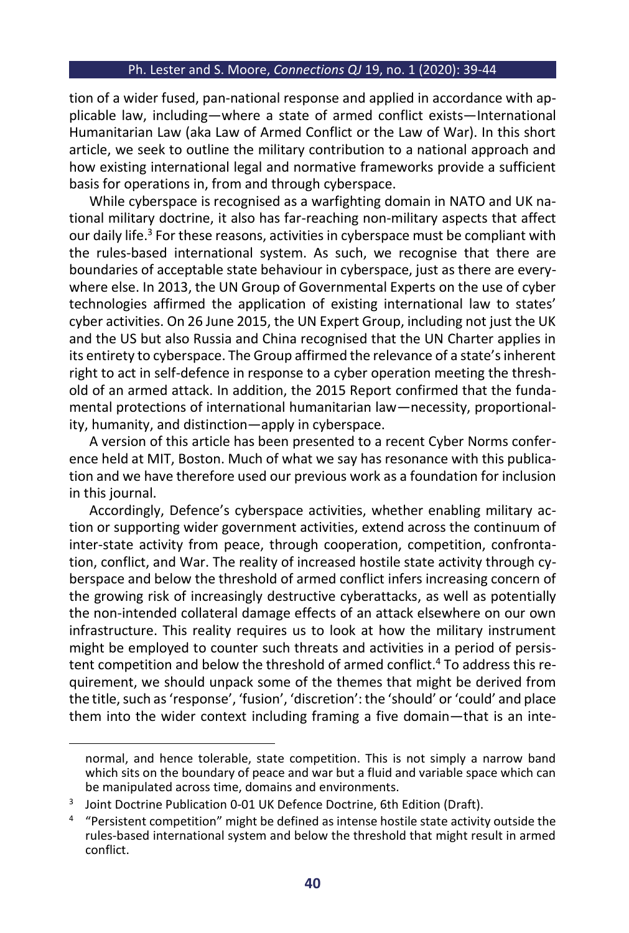#### Ph. Lester and S. Moore, *Connections QJ* 19, no. 1 (2020): 39-44

tion of a wider fused, pan-national response and applied in accordance with applicable law, including—where a state of armed conflict exists—International Humanitarian Law (aka Law of Armed Conflict or the Law of War). In this short article, we seek to outline the military contribution to a national approach and how existing international legal and normative frameworks provide a sufficient basis for operations in, from and through cyberspace.

While cyberspace is recognised as a warfighting domain in NATO and UK national military doctrine, it also has far-reaching non-military aspects that affect our daily life. <sup>3</sup> For these reasons, activities in cyberspace must be compliant with the rules-based international system. As such, we recognise that there are boundaries of acceptable state behaviour in cyberspace, just as there are everywhere else. In 2013, the UN Group of Governmental Experts on the use of cyber technologies affirmed the application of existing international law to states' cyber activities. On 26 June 2015, the UN Expert Group, including not just the UK and the US but also Russia and China recognised that the UN Charter applies in its entirety to cyberspace. The Group affirmed the relevance of a state's inherent right to act in self-defence in response to a cyber operation meeting the threshold of an armed attack. In addition, the 2015 Report confirmed that the fundamental protections of international humanitarian law—necessity, proportionality, humanity, and distinction—apply in cyberspace.

A version of this article has been presented to a recent Cyber Norms conference held at MIT, Boston. Much of what we say has resonance with this publication and we have therefore used our previous work as a foundation for inclusion in this journal.

Accordingly, Defence's cyberspace activities, whether enabling military action or supporting wider government activities, extend across the continuum of inter-state activity from peace, through cooperation, competition, confrontation, conflict, and War. The reality of increased hostile state activity through cyberspace and below the threshold of armed conflict infers increasing concern of the growing risk of increasingly destructive cyberattacks, as well as potentially the non-intended collateral damage effects of an attack elsewhere on our own infrastructure. This reality requires us to look at how the military instrument might be employed to counter such threats and activities in a period of persistent competition and below the threshold of armed conflict. <sup>4</sup> To address this requirement, we should unpack some of the themes that might be derived from the title, such as 'response', 'fusion', 'discretion': the 'should' or 'could' and place them into the wider context including framing a five domain—that is an inte-

normal, and hence tolerable, state competition. This is not simply a narrow band which sits on the boundary of peace and war but a fluid and variable space which can be manipulated across time, domains and environments.

<sup>3</sup> Joint Doctrine Publication 0-01 UK Defence Doctrine, 6th Edition (Draft).

<sup>&</sup>lt;sup>4</sup> "Persistent competition" might be defined as intense hostile state activity outside the rules-based international system and below the threshold that might result in armed conflict.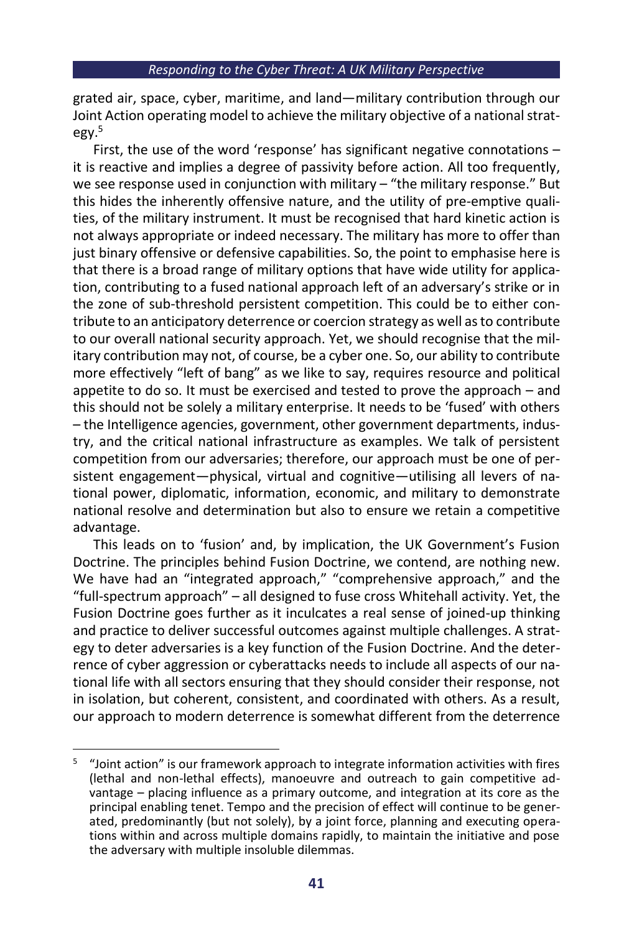grated air, space, cyber, maritime, and land—military contribution through our Joint Action operating model to achieve the military objective of a national strategy. 5

First, the use of the word 'response' has significant negative connotations – it is reactive and implies a degree of passivity before action. All too frequently, we see response used in conjunction with military – "the military response." But this hides the inherently offensive nature, and the utility of pre-emptive qualities, of the military instrument. It must be recognised that hard kinetic action is not always appropriate or indeed necessary. The military has more to offer than just binary offensive or defensive capabilities. So, the point to emphasise here is that there is a broad range of military options that have wide utility for application, contributing to a fused national approach left of an adversary's strike or in the zone of sub-threshold persistent competition. This could be to either contribute to an anticipatory deterrence or coercion strategy as well as to contribute to our overall national security approach. Yet, we should recognise that the military contribution may not, of course, be a cyber one. So, our ability to contribute more effectively "left of bang" as we like to say, requires resource and political appetite to do so. It must be exercised and tested to prove the approach – and this should not be solely a military enterprise. It needs to be 'fused' with others – the Intelligence agencies, government, other government departments, industry, and the critical national infrastructure as examples. We talk of persistent competition from our adversaries; therefore, our approach must be one of persistent engagement—physical, virtual and cognitive—utilising all levers of national power, diplomatic, information, economic, and military to demonstrate national resolve and determination but also to ensure we retain a competitive advantage.

This leads on to 'fusion' and, by implication, the UK Government's Fusion Doctrine. The principles behind Fusion Doctrine, we contend, are nothing new. We have had an "integrated approach," "comprehensive approach," and the "full-spectrum approach" – all designed to fuse cross Whitehall activity. Yet, the Fusion Doctrine goes further as it inculcates a real sense of joined-up thinking and practice to deliver successful outcomes against multiple challenges. A strategy to deter adversaries is a key function of the Fusion Doctrine. And the deterrence of cyber aggression or cyberattacks needs to include all aspects of our national life with all sectors ensuring that they should consider their response, not in isolation, but coherent, consistent, and coordinated with others. As a result, our approach to modern deterrence is somewhat different from the deterrence

<sup>5</sup> "Joint action" is our framework approach to integrate information activities with fires (lethal and non-lethal effects), manoeuvre and outreach to gain competitive advantage – placing influence as a primary outcome, and integration at its core as the principal enabling tenet. Tempo and the precision of effect will continue to be generated, predominantly (but not solely), by a joint force, planning and executing operations within and across multiple domains rapidly, to maintain the initiative and pose the adversary with multiple insoluble dilemmas.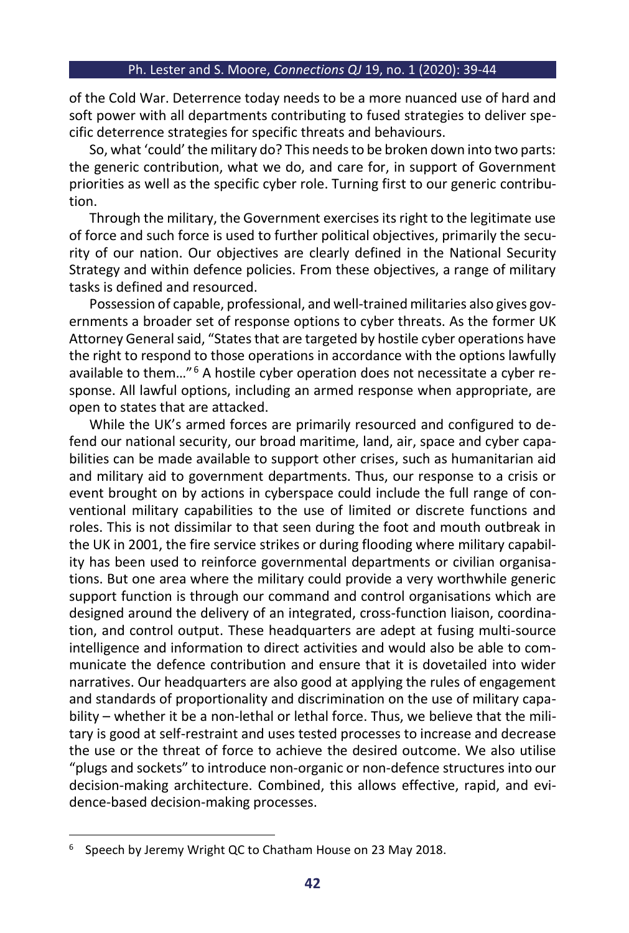#### Ph. Lester and S. Moore, *Connections QJ* 19, no. 1 (2020): 39-44

of the Cold War. Deterrence today needs to be a more nuanced use of hard and soft power with all departments contributing to fused strategies to deliver specific deterrence strategies for specific threats and behaviours.

So, what 'could' the military do? This needs to be broken down into two parts: the generic contribution, what we do, and care for, in support of Government priorities as well as the specific cyber role. Turning first to our generic contribution.

Through the military, the Government exercises its right to the legitimate use of force and such force is used to further political objectives, primarily the security of our nation. Our objectives are clearly defined in the National Security Strategy and within defence policies. From these objectives, a range of military tasks is defined and resourced.

Possession of capable, professional, and well-trained militaries also gives governments a broader set of response options to cyber threats. As the former UK Attorney General said, "States that are targeted by hostile cyber operations have the right to respond to those operations in accordance with the options lawfully available to them…" <sup>6</sup> A hostile cyber operation does not necessitate a cyber response. All lawful options, including an armed response when appropriate, are open to states that are attacked.

While the UK's armed forces are primarily resourced and configured to defend our national security, our broad maritime, land, air, space and cyber capabilities can be made available to support other crises, such as humanitarian aid and military aid to government departments. Thus, our response to a crisis or event brought on by actions in cyberspace could include the full range of conventional military capabilities to the use of limited or discrete functions and roles. This is not dissimilar to that seen during the foot and mouth outbreak in the UK in 2001, the fire service strikes or during flooding where military capability has been used to reinforce governmental departments or civilian organisations. But one area where the military could provide a very worthwhile generic support function is through our command and control organisations which are designed around the delivery of an integrated, cross-function liaison, coordination, and control output. These headquarters are adept at fusing multi-source intelligence and information to direct activities and would also be able to communicate the defence contribution and ensure that it is dovetailed into wider narratives. Our headquarters are also good at applying the rules of engagement and standards of proportionality and discrimination on the use of military capability – whether it be a non-lethal or lethal force. Thus, we believe that the military is good at self-restraint and uses tested processes to increase and decrease the use or the threat of force to achieve the desired outcome. We also utilise "plugs and sockets" to introduce non-organic or non-defence structures into our decision-making architecture. Combined, this allows effective, rapid, and evidence-based decision-making processes.

<sup>&</sup>lt;sup>6</sup> Speech by Jeremy Wright QC to Chatham House on 23 May 2018.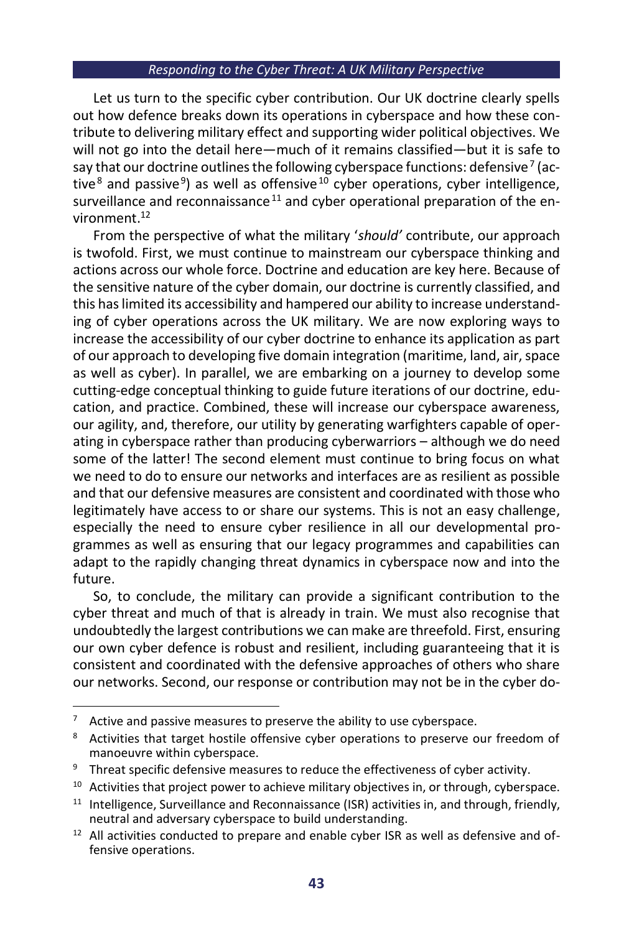#### *Responding to the Cyber Threat: A UK Military Perspective*

Let us turn to the specific cyber contribution. Our UK doctrine clearly spells out how defence breaks down its operations in cyberspace and how these contribute to delivering military effect and supporting wider political objectives. We will not go into the detail here—much of it remains classified—but it is safe to say that our doctrine outlines the following cyberspace functions: defensive  $^7$  (active<sup>8</sup> and passive<sup>9</sup>) as well as offensive<sup>10</sup> cyber operations, cyber intelligence, surveillance and reconnaissance<sup>11</sup> and cyber operational preparation of the environment. 12

From the perspective of what the military '*should'* contribute, our approach is twofold. First, we must continue to mainstream our cyberspace thinking and actions across our whole force. Doctrine and education are key here. Because of the sensitive nature of the cyber domain, our doctrine is currently classified, and this has limited its accessibility and hampered our ability to increase understanding of cyber operations across the UK military. We are now exploring ways to increase the accessibility of our cyber doctrine to enhance its application as part of our approach to developing five domain integration (maritime, land, air, space as well as cyber). In parallel, we are embarking on a journey to develop some cutting-edge conceptual thinking to guide future iterations of our doctrine, education, and practice. Combined, these will increase our cyberspace awareness, our agility, and, therefore, our utility by generating warfighters capable of operating in cyberspace rather than producing cyberwarriors – although we do need some of the latter! The second element must continue to bring focus on what we need to do to ensure our networks and interfaces are as resilient as possible and that our defensive measures are consistent and coordinated with those who legitimately have access to or share our systems. This is not an easy challenge, especially the need to ensure cyber resilience in all our developmental programmes as well as ensuring that our legacy programmes and capabilities can adapt to the rapidly changing threat dynamics in cyberspace now and into the future.

So, to conclude, the military can provide a significant contribution to the cyber threat and much of that is already in train. We must also recognise that undoubtedly the largest contributions we can make are threefold. First, ensuring our own cyber defence is robust and resilient, including guaranteeing that it is consistent and coordinated with the defensive approaches of others who share our networks. Second, our response or contribution may not be in the cyber do-

 $7$  Active and passive measures to preserve the ability to use cyberspace.

<sup>&</sup>lt;sup>8</sup> Activities that target hostile offensive cyber operations to preserve our freedom of manoeuvre within cyberspace.

<sup>&</sup>lt;sup>9</sup> Threat specific defensive measures to reduce the effectiveness of cyber activity.

<sup>&</sup>lt;sup>10</sup> Activities that project power to achieve military objectives in, or through, cyberspace.

 $11$  Intelligence, Surveillance and Reconnaissance (ISR) activities in, and through, friendly, neutral and adversary cyberspace to build understanding.

 $12$  All activities conducted to prepare and enable cyber ISR as well as defensive and offensive operations.